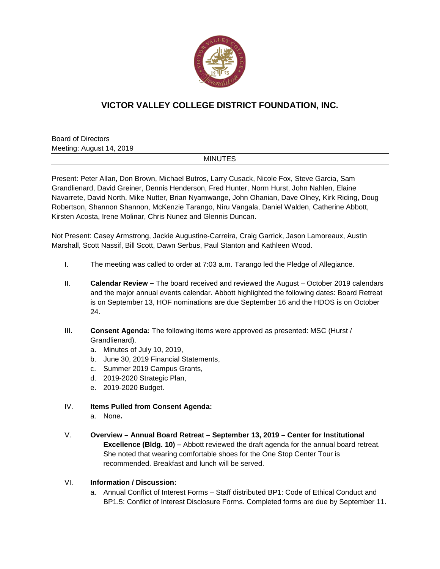

## **VICTOR VALLEY COLLEGE DISTRICT FOUNDATION, INC.**

Board of Directors Meeting: August 14, 2019

## MINUTES

Present: Peter Allan, Don Brown, Michael Butros, Larry Cusack, Nicole Fox, Steve Garcia, Sam Grandlienard, David Greiner, Dennis Henderson, Fred Hunter, Norm Hurst, John Nahlen, Elaine Navarrete, David North, Mike Nutter, Brian Nyamwange, John Ohanian, Dave Olney, Kirk Riding, Doug Robertson, Shannon Shannon, McKenzie Tarango, Niru Vangala, Daniel Walden, Catherine Abbott, Kirsten Acosta, Irene Molinar, Chris Nunez and Glennis Duncan.

Not Present: Casey Armstrong, Jackie Augustine-Carreira, Craig Garrick, Jason Lamoreaux, Austin Marshall, Scott Nassif, Bill Scott, Dawn Serbus, Paul Stanton and Kathleen Wood.

- I. The meeting was called to order at 7:03 a.m. Tarango led the Pledge of Allegiance.
- II. **Calendar Review –** The board received and reviewed the August October 2019 calendars and the major annual events calendar. Abbott highlighted the following dates: Board Retreat is on September 13, HOF nominations are due September 16 and the HDOS is on October 24.
- III. **Consent Agenda:** The following items were approved as presented: MSC (Hurst / Grandlienard).
	- a. Minutes of July 10, 2019,
	- b. June 30, 2019 Financial Statements,
	- c. Summer 2019 Campus Grants,
	- d. 2019-2020 Strategic Plan,
	- e. 2019-2020 Budget.
- IV. **Items Pulled from Consent Agenda:**
	- a. None**.**
- V. **Overview – Annual Board Retreat – September 13, 2019 – Center for Institutional Excellence (Bldg. 10) –** Abbott reviewed the draft agenda for the annual board retreat. She noted that wearing comfortable shoes for the One Stop Center Tour is recommended. Breakfast and lunch will be served.

## VI. **Information / Discussion:**

a. Annual Conflict of Interest Forms – Staff distributed BP1: Code of Ethical Conduct and BP1.5: Conflict of Interest Disclosure Forms. Completed forms are due by September 11.